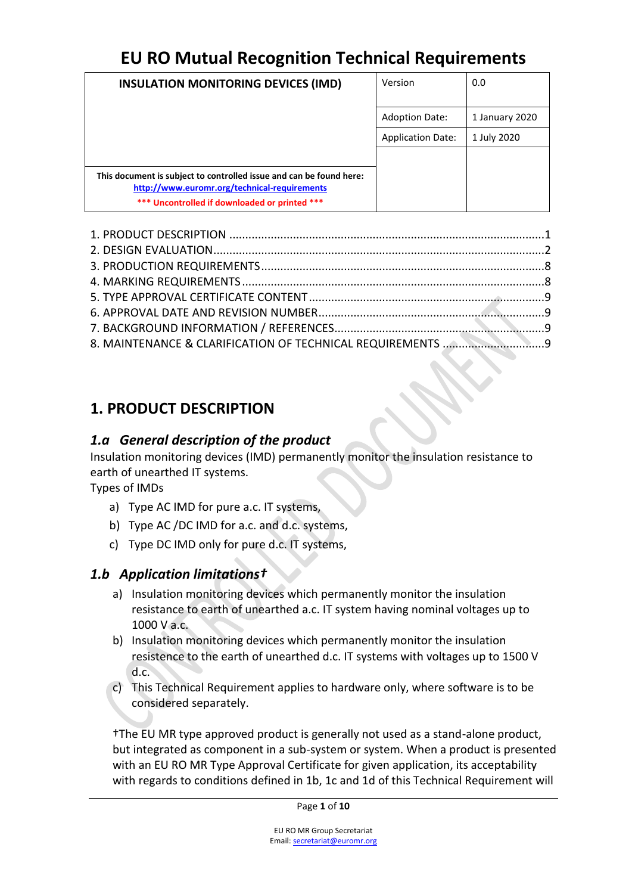| <b>INSULATION MONITORING DEVICES (IMD)</b>                                                                          | Version                  | 0.0            |
|---------------------------------------------------------------------------------------------------------------------|--------------------------|----------------|
|                                                                                                                     | <b>Adoption Date:</b>    | 1 January 2020 |
|                                                                                                                     | <b>Application Date:</b> | 1 July 2020    |
|                                                                                                                     |                          |                |
| This document is subject to controlled issue and can be found here:<br>http://www.euromr.org/technical-requirements |                          |                |
| *** Uncontrolled if downloaded or printed ***                                                                       |                          |                |

### <span id="page-0-0"></span>**1. PRODUCT DESCRIPTION**

### *1.a General description of the product*

Insulation monitoring devices (IMD) permanently monitor the insulation resistance to earth of unearthed IT systems.

Types of IMDs

- a) Type AC IMD for pure a.c. IT systems,
- b) Type AC /DC IMD for a.c. and d.c. systems,
- c) Type DC IMD only for pure d.c. IT systems,

### *1.b Application limitations†*

- a) Insulation monitoring devices which permanently monitor the insulation resistance to earth of unearthed a.c. IT system having nominal voltages up to 1000 V a.c.
- b) Insulation monitoring devices which permanently monitor the insulation resistence to the earth of unearthed d.c. IT systems with voltages up to 1500 V d.c.
- c) This Technical Requirement applies to hardware only, where software is to be considered separately.

†The EU MR type approved product is generally not used as a stand-alone product, but integrated as component in a sub-system or system. When a product is presented with an EU RO MR Type Approval Certificate for given application, its acceptability with regards to conditions defined in 1b, 1c and 1d of this Technical Requirement will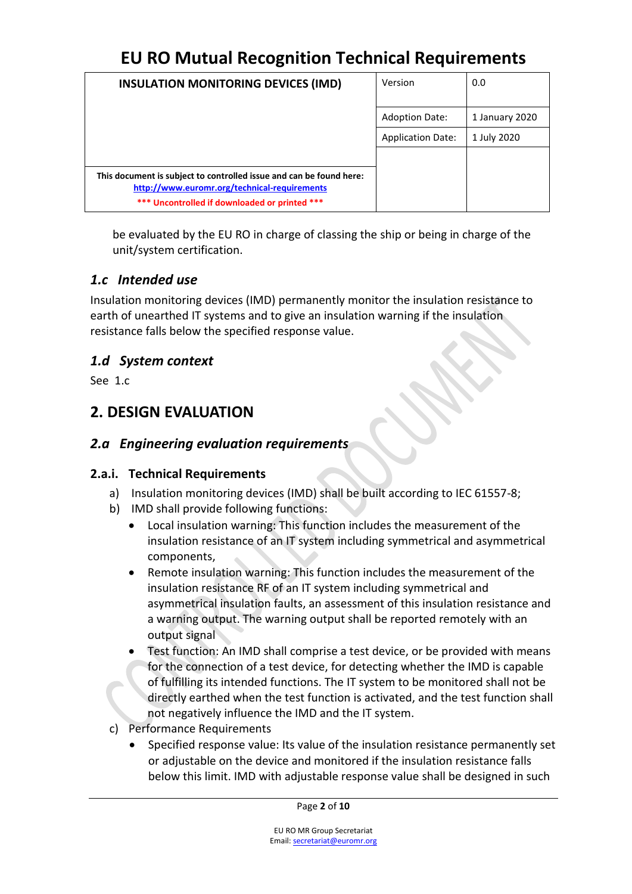| <b>INSULATION MONITORING DEVICES (IMD)</b>                                                                                                                           | Version                  | 0.0            |
|----------------------------------------------------------------------------------------------------------------------------------------------------------------------|--------------------------|----------------|
|                                                                                                                                                                      | <b>Adoption Date:</b>    | 1 January 2020 |
|                                                                                                                                                                      | <b>Application Date:</b> | 1 July 2020    |
|                                                                                                                                                                      |                          |                |
| This document is subject to controlled issue and can be found here:<br>http://www.euromr.org/technical-requirements<br>*** Uncontrolled if downloaded or printed *** |                          |                |

be evaluated by the EU RO in charge of classing the ship or being in charge of the unit/system certification.

#### *1.c Intended use*

Insulation monitoring devices (IMD) permanently monitor the insulation resistance to earth of unearthed IT systems and to give an insulation warning if the insulation resistance falls below the specified response value.

### *1.d System context*

<span id="page-1-0"></span>See 1.c

### **2. DESIGN EVALUATION**

### *2.a Engineering evaluation requirements*

#### **2.a.i. Technical Requirements**

- a) Insulation monitoring devices (IMD) shall be built according to IEC 61557-8;
- b) IMD shall provide following functions:
	- Local insulation warning: This function includes the measurement of the insulation resistance of an IT system including symmetrical and asymmetrical components,
	- Remote insulation warning: This function includes the measurement of the insulation resistance RF of an IT system including symmetrical and asymmetrical insulation faults, an assessment of this insulation resistance and a warning output. The warning output shall be reported remotely with an output signal
	- Test function: An IMD shall comprise a test device, or be provided with means for the connection of a test device, for detecting whether the IMD is capable of fulfilling its intended functions. The IT system to be monitored shall not be directly earthed when the test function is activated, and the test function shall not negatively influence the IMD and the IT system.
- c) Performance Requirements
	- Specified response value: Its value of the insulation resistance permanently set or adjustable on the device and monitored if the insulation resistance falls below this limit. IMD with adjustable response value shall be designed in such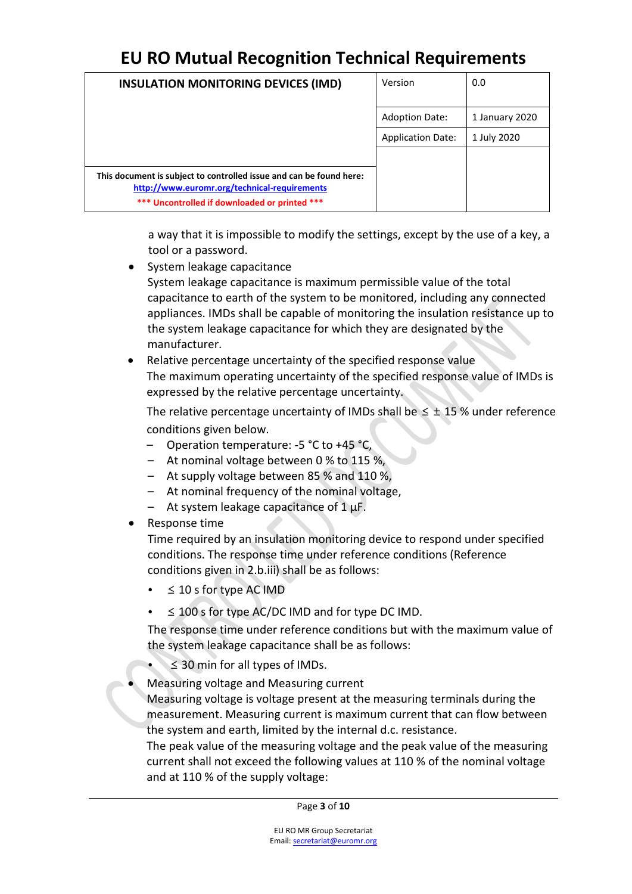| <b>INSULATION MONITORING DEVICES (IMD)</b>                                                                          | Version                  | 0.0            |
|---------------------------------------------------------------------------------------------------------------------|--------------------------|----------------|
|                                                                                                                     | <b>Adoption Date:</b>    | 1 January 2020 |
|                                                                                                                     | <b>Application Date:</b> | 1 July 2020    |
|                                                                                                                     |                          |                |
| This document is subject to controlled issue and can be found here:<br>http://www.euromr.org/technical-requirements |                          |                |
| *** Uncontrolled if downloaded or printed ***                                                                       |                          |                |

a way that it is impossible to modify the settings, except by the use of a key, a tool or a password.

- System leakage capacitance System leakage capacitance is maximum permissible value of the total capacitance to earth of the system to be monitored, including any connected appliances. IMDs shall be capable of monitoring the insulation resistance up to the system leakage capacitance for which they are designated by the manufacturer.
- Relative percentage uncertainty of the specified response value The maximum operating uncertainty of the specified response value of IMDs is expressed by the relative percentage uncertainty.

The relative percentage uncertainty of IMDs shall be  $\leq \pm 15$ % under reference conditions given below.

- Operation temperature: -5 °C to +45 °C,
- At nominal voltage between 0 % to 115 %,
- At supply voltage between 85 % and 110 %,
- At nominal frequency of the nominal voltage,
- $-$  At system leakage capacitance of 1  $\mu$ F.
- Response time

Time required by an insulation monitoring device to respond under specified conditions. The response time under reference conditions (Reference conditions given in 2.b.iii) shall be as follows:

- $\leq$  10 s for type AC IMD
- $\leq$  100 s for type AC/DC IMD and for type DC IMD.

The response time under reference conditions but with the maximum value of the system leakage capacitance shall be as follows:

- $\leq$  30 min for all types of IMDs.
- Measuring voltage and Measuring current

Measuring voltage is voltage present at the measuring terminals during the measurement. Measuring current is maximum current that can flow between the system and earth, limited by the internal d.c. resistance.

The peak value of the measuring voltage and the peak value of the measuring current shall not exceed the following values at 110 % of the nominal voltage and at 110 % of the supply voltage: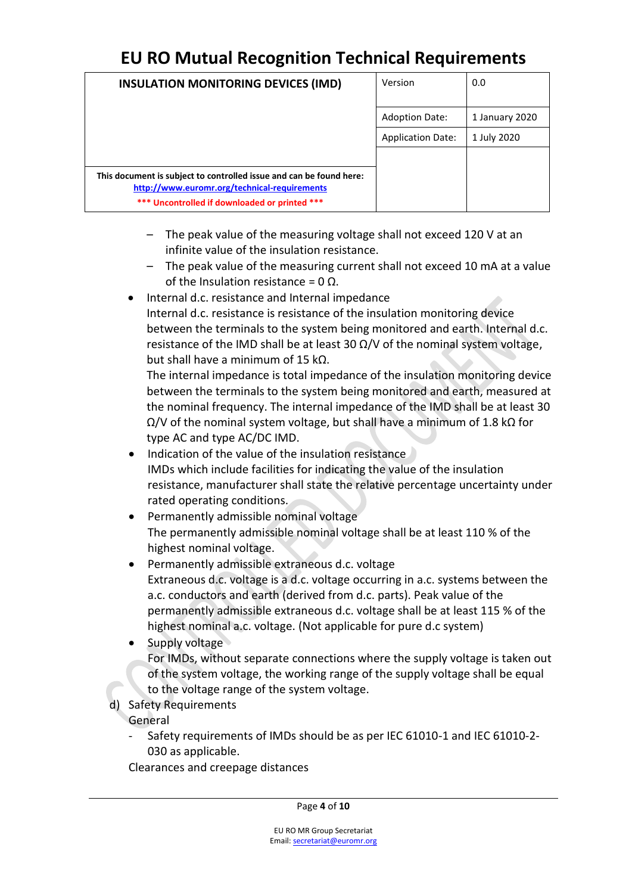| <b>INSULATION MONITORING DEVICES (IMD)</b>                                                                          | Version                  | 0.0            |
|---------------------------------------------------------------------------------------------------------------------|--------------------------|----------------|
|                                                                                                                     | <b>Adoption Date:</b>    | 1 January 2020 |
|                                                                                                                     | <b>Application Date:</b> | 1 July 2020    |
|                                                                                                                     |                          |                |
| This document is subject to controlled issue and can be found here:<br>http://www.euromr.org/technical-requirements |                          |                |
| *** Uncontrolled if downloaded or printed ***                                                                       |                          |                |

- The peak value of the measuring voltage shall not exceed 120 V at an infinite value of the insulation resistance.
- The peak value of the measuring current shall not exceed 10 mA at a value of the Insulation resistance = 0 Ω.
- Internal d.c. resistance and Internal impedance Internal d.c. resistance is resistance of the insulation monitoring device between the terminals to the system being monitored and earth. Internal d.c. resistance of the IMD shall be at least 30  $\Omega$ /V of the nominal system voltage, but shall have a minimum of 15 kΩ.

The internal impedance is total impedance of the insulation monitoring device between the terminals to the system being monitored and earth, measured at the nominal frequency. The internal impedance of the IMD shall be at least 30  $Ω/V$  of the nominal system voltage, but shall have a minimum of 1.8 kΩ for type AC and type AC/DC IMD.

- Indication of the value of the insulation resistance IMDs which include facilities for indicating the value of the insulation resistance, manufacturer shall state the relative percentage uncertainty under rated operating conditions.
- Permanently admissible nominal voltage The permanently admissible nominal voltage shall be at least 110 % of the highest nominal voltage.
- Permanently admissible extraneous d.c. voltage Extraneous d.c. voltage is a d.c. voltage occurring in a.c. systems between the a.c. conductors and earth (derived from d.c. parts). Peak value of the permanently admissible extraneous d.c. voltage shall be at least 115 % of the highest nominal a.c. voltage. (Not applicable for pure d.c system)
- Supply voltage

For IMDs, without separate connections where the supply voltage is taken out of the system voltage, the working range of the supply voltage shall be equal to the voltage range of the system voltage.

d) Safety Requirements

General

- Safety requirements of IMDs should be as per IEC 61010-1 and IEC 61010-2- 030 as applicable.

Clearances and creepage distances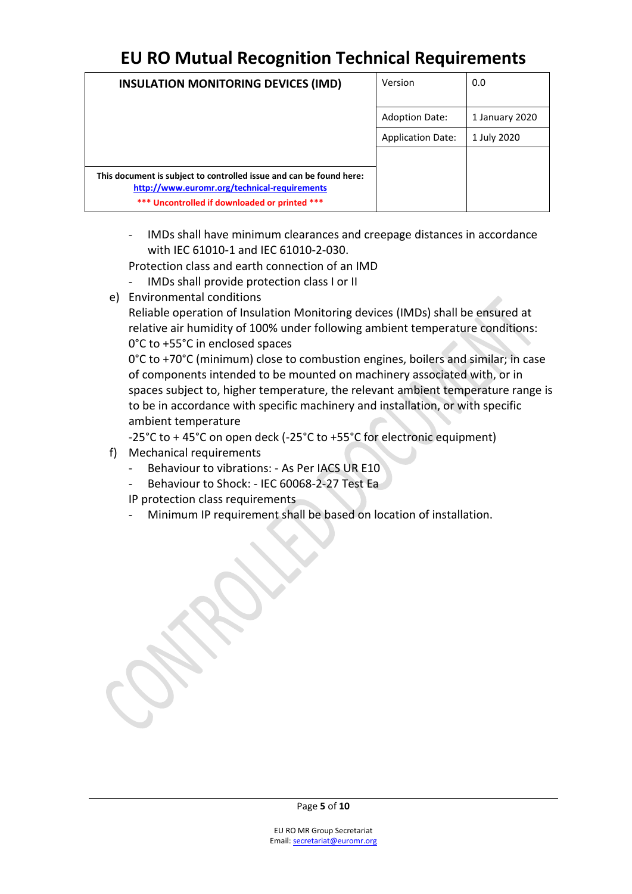| <b>INSULATION MONITORING DEVICES (IMD)</b>                                                                          | Version                  | 0.0            |
|---------------------------------------------------------------------------------------------------------------------|--------------------------|----------------|
|                                                                                                                     | <b>Adoption Date:</b>    | 1 January 2020 |
|                                                                                                                     | <b>Application Date:</b> | 1 July 2020    |
|                                                                                                                     |                          |                |
| This document is subject to controlled issue and can be found here:<br>http://www.euromr.org/technical-requirements |                          |                |
| *** Uncontrolled if downloaded or printed ***                                                                       |                          |                |

- IMDs shall have minimum clearances and creepage distances in accordance with IEC 61010-1 and IEC 61010-2-030.

Protection class and earth connection of an IMD

- IMDs shall provide protection class I or II
- e) Environmental conditions

Reliable operation of Insulation Monitoring devices (IMDs) shall be ensured at relative air humidity of 100% under following ambient temperature conditions: 0°С to +55°C in enclosed spaces

0°C to +70°C (minimum) close to combustion engines, boilers and similar; in case of components intended to be mounted on machinery associated with, or in spaces subject to, higher temperature, the relevant ambient temperature range is to be in accordance with specific machinery and installation, or with specific ambient temperature

‐25°C to + 45°C on open deck (-25°C to +55°C for electronic equipment)

- f) Mechanical requirements
	- Behaviour to vibrations: As Per IACS UR E10
	- Behaviour to Shock: IEC 60068-2-27 Test Ea
	- IP protection class requirements
	- Minimum IP requirement shall be based on location of installation.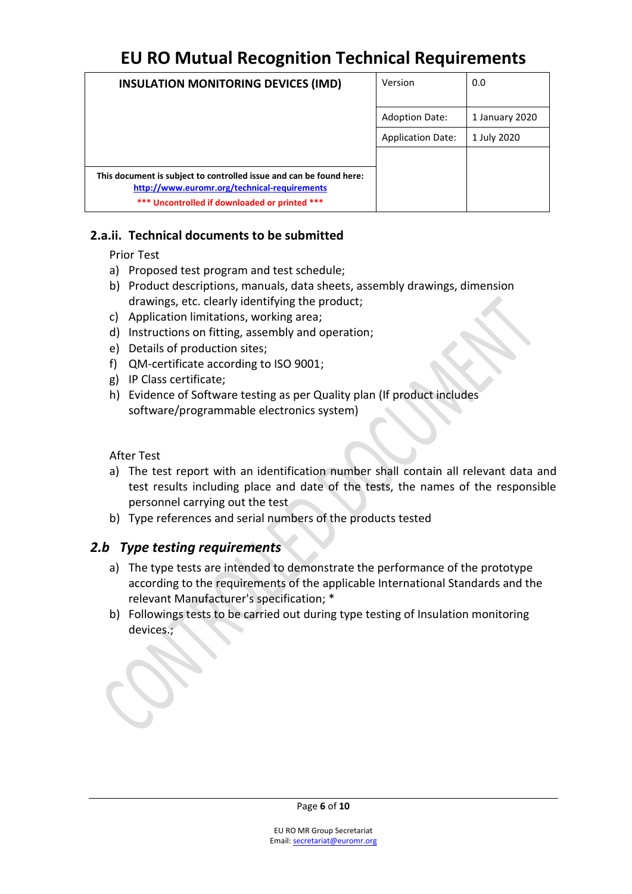| <b>INSULATION MONITORING DEVICES (IMD)</b>                                                                          | Version                  | 0.0            |
|---------------------------------------------------------------------------------------------------------------------|--------------------------|----------------|
|                                                                                                                     | <b>Adoption Date:</b>    | 1 January 2020 |
|                                                                                                                     | <b>Application Date:</b> | 1 July 2020    |
|                                                                                                                     |                          |                |
| This document is subject to controlled issue and can be found here:<br>http://www.euromr.org/technical-requirements |                          |                |
| *** Uncontrolled if downloaded or printed ***                                                                       |                          |                |

#### **2.a.ii. Technical documents to be submitted**

Prior Test

- a) Proposed test program and test schedule;
- b) Product descriptions, manuals, data sheets, assembly drawings, dimension drawings, etc. clearly identifying the product;
- c) Application limitations, working area;
- d) Instructions on fitting, assembly and operation;
- e) Details of production sites;
- f) QM-certificate according to ISO 9001;
- g) IP Class certificate;
- h) Evidence of Software testing as per Quality plan (If product includes software/programmable electronics system)

After Test

- a) The test report with an identification number shall contain all relevant data and test results including place and date of the tests, the names of the responsible personnel carrying out the test
- b) Type references and serial numbers of the products tested

#### *2.b Type testing requirements*

- a) The type tests are intended to demonstrate the performance of the prototype according to the requirements of the applicable International Standards and the relevant Manufacturer's specification; \*
- b) Followings tests to be carried out during type testing of Insulation monitoring devices.;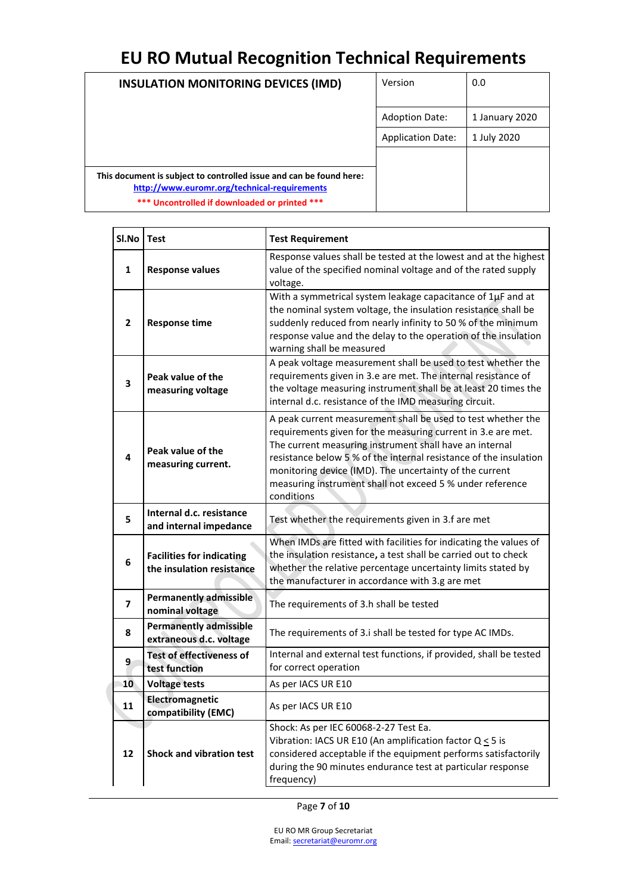| <b>INSULATION MONITORING DEVICES (IMD)</b>                                                                          | Version                  | 0.0            |
|---------------------------------------------------------------------------------------------------------------------|--------------------------|----------------|
|                                                                                                                     | <b>Adoption Date:</b>    | 1 January 2020 |
|                                                                                                                     | <b>Application Date:</b> | 1 July 2020    |
|                                                                                                                     |                          |                |
| This document is subject to controlled issue and can be found here:<br>http://www.euromr.org/technical-requirements |                          |                |
| *** Uncontrolled if downloaded or printed ***                                                                       |                          |                |

| SI.No        | <b>Test</b>                                                   | <b>Test Requirement</b>                                                                                                                                                                                                                                                                                                                                                                            |  |
|--------------|---------------------------------------------------------------|----------------------------------------------------------------------------------------------------------------------------------------------------------------------------------------------------------------------------------------------------------------------------------------------------------------------------------------------------------------------------------------------------|--|
| 1            | <b>Response values</b>                                        | Response values shall be tested at the lowest and at the highest<br>value of the specified nominal voltage and of the rated supply<br>voltage.                                                                                                                                                                                                                                                     |  |
| $\mathbf{2}$ | <b>Response time</b>                                          | With a symmetrical system leakage capacitance of $1\mu$ F and at<br>the nominal system voltage, the insulation resistance shall be<br>suddenly reduced from nearly infinity to 50 % of the minimum<br>response value and the delay to the operation of the insulation<br>warning shall be measured                                                                                                 |  |
| 3            | Peak value of the<br>measuring voltage                        | A peak voltage measurement shall be used to test whether the<br>requirements given in 3.e are met. The internal resistance of<br>the voltage measuring instrument shall be at least 20 times the<br>internal d.c. resistance of the IMD measuring circuit.                                                                                                                                         |  |
| 4            | Peak value of the<br>measuring current.                       | A peak current measurement shall be used to test whether the<br>requirements given for the measuring current in 3.e are met.<br>The current measuring instrument shall have an internal<br>resistance below 5 % of the internal resistance of the insulation<br>monitoring device (IMD). The uncertainty of the current<br>measuring instrument shall not exceed 5 % under reference<br>conditions |  |
| 5            | Internal d.c. resistance<br>and internal impedance            | Test whether the requirements given in 3.f are met                                                                                                                                                                                                                                                                                                                                                 |  |
| 6            | <b>Facilities for indicating</b><br>the insulation resistance | When IMDs are fitted with facilities for indicating the values of<br>the insulation resistance, a test shall be carried out to check<br>whether the relative percentage uncertainty limits stated by<br>the manufacturer in accordance with 3.g are met                                                                                                                                            |  |
| 7            | <b>Permanently admissible</b><br>nominal voltage              | The requirements of 3.h shall be tested                                                                                                                                                                                                                                                                                                                                                            |  |
| 8            | <b>Permanently admissible</b><br>extraneous d.c. voltage      | The requirements of 3.i shall be tested for type AC IMDs.                                                                                                                                                                                                                                                                                                                                          |  |
| 9            | <b>Test of effectiveness of</b><br>test function              | Internal and external test functions, if provided, shall be tested<br>for correct operation                                                                                                                                                                                                                                                                                                        |  |
| 10           | <b>Voltage tests</b>                                          | As per IACS UR E10                                                                                                                                                                                                                                                                                                                                                                                 |  |
| 11           | Electromagnetic<br>compatibility (EMC)                        | As per IACS UR E10                                                                                                                                                                                                                                                                                                                                                                                 |  |
| 12           | Shock and vibration test                                      | Shock: As per IEC 60068-2-27 Test Ea.<br>Vibration: IACS UR E10 (An amplification factor Q < 5 is<br>considered acceptable if the equipment performs satisfactorily<br>during the 90 minutes endurance test at particular response<br>frequency)                                                                                                                                                   |  |

 $\overline{\phantom{a}}$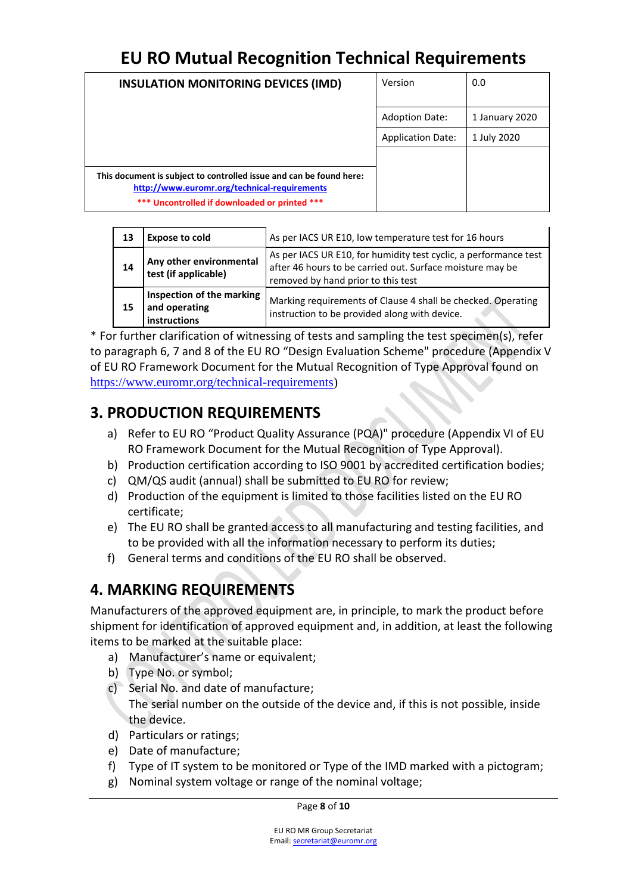| <b>INSULATION MONITORING DEVICES (IMD)</b>                                                                                                                           | Version                  | 0.0            |
|----------------------------------------------------------------------------------------------------------------------------------------------------------------------|--------------------------|----------------|
|                                                                                                                                                                      | <b>Adoption Date:</b>    | 1 January 2020 |
|                                                                                                                                                                      | <b>Application Date:</b> | 1 July 2020    |
|                                                                                                                                                                      |                          |                |
| This document is subject to controlled issue and can be found here:<br>http://www.euromr.org/technical-requirements<br>*** Uncontrolled if downloaded or printed *** |                          |                |

| 13 | <b>Expose to cold</b>                                      | As per IACS UR E10, low temperature test for 16 hours                                                                                                               |
|----|------------------------------------------------------------|---------------------------------------------------------------------------------------------------------------------------------------------------------------------|
| 14 | Any other environmental<br>test (if applicable)            | As per IACS UR E10, for humidity test cyclic, a performance test<br>after 46 hours to be carried out. Surface moisture may be<br>removed by hand prior to this test |
| 15 | Inspection of the marking<br>and operating<br>instructions | Marking requirements of Clause 4 shall be checked. Operating<br>instruction to be provided along with device.                                                       |

\* For further clarification of witnessing of tests and sampling the test specimen(s), refer to paragraph 6, 7 and 8 of the EU RO "Design Evaluation Scheme" procedure (Appendix V of EU RO Framework Document for the Mutual Recognition of Type Approval found on [https://www.euromr.org/technical-requirements\)](https://www.euromr.org/technical-requirements)

### <span id="page-7-0"></span>**3. PRODUCTION REQUIREMENTS**

- <span id="page-7-1"></span>a) Refer to EU RO "Product Quality Assurance (PQA)" procedure (Appendix VI of EU RO Framework Document for the Mutual Recognition of Type Approval).
- b) Production certification according to ISO 9001 by accredited certification bodies;
- c) QM/QS audit (annual) shall be submitted to EU RO for review;
- d) Production of the equipment is limited to those facilities listed on the EU RO certificate;
- e) The EU RO shall be granted access to all manufacturing and testing facilities, and to be provided with all the information necessary to perform its duties;
- f) General terms and conditions of the EU RO shall be observed.

### **4. MARKING REQUIREMENTS**

Manufacturers of the approved equipment are, in principle, to mark the product before shipment for identification of approved equipment and, in addition, at least the following items to be marked at the suitable place:

- a) Manufacturer's name or equivalent;
- b) Type No. or symbol;
- c) Serial No. and date of manufacture; The serial number on the outside of the device and, if this is not possible, inside the device.
- d) Particulars or ratings;
- e) Date of manufacture;
- f) Type of IT system to be monitored or Type of the IMD marked with a pictogram;
- g) Nominal system voltage or range of the nominal voltage;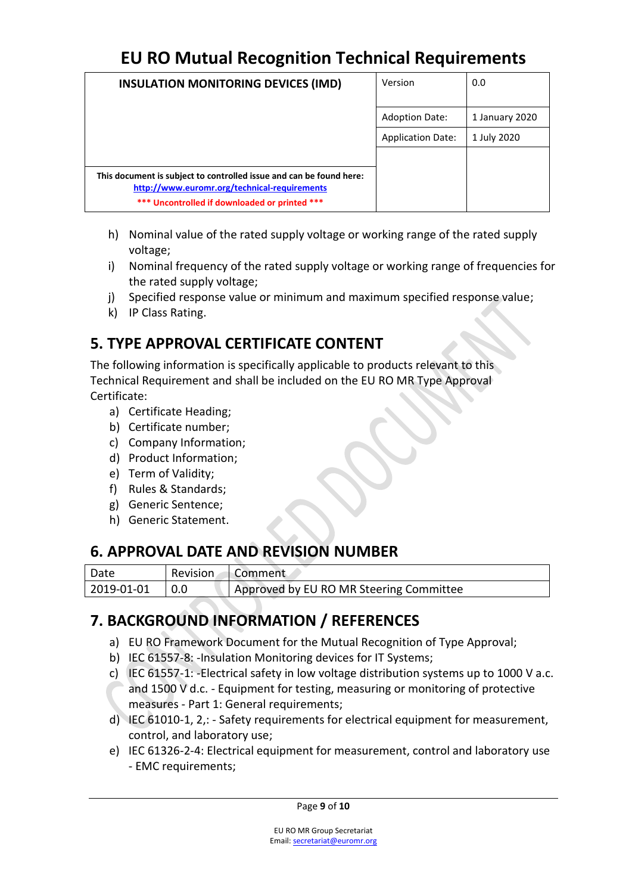| <b>INSULATION MONITORING DEVICES (IMD)</b>                                                                          | Version                  | 0.0            |
|---------------------------------------------------------------------------------------------------------------------|--------------------------|----------------|
|                                                                                                                     | <b>Adoption Date:</b>    | 1 January 2020 |
|                                                                                                                     | <b>Application Date:</b> | 1 July 2020    |
|                                                                                                                     |                          |                |
| This document is subject to controlled issue and can be found here:<br>http://www.euromr.org/technical-requirements |                          |                |
| *** Uncontrolled if downloaded or printed ***                                                                       |                          |                |

- h) Nominal value of the rated supply voltage or working range of the rated supply voltage;
- i) Nominal frequency of the rated supply voltage or working range of frequencies for the rated supply voltage;
- j) Specified response value or minimum and maximum specified response value;
- k) IP Class Rating.

### <span id="page-8-0"></span>**5. TYPE APPROVAL CERTIFICATE CONTENT**

The following information is specifically applicable to products relevant to this Technical Requirement and shall be included on the EU RO MR Type Approval Certificate:

- a) Certificate Heading;
- b) Certificate number;
- c) Company Information;
- d) Product Information;
- e) Term of Validity;
- f) Rules & Standards;
- g) Generic Sentence;
- h) Generic Statement.

### <span id="page-8-1"></span>**6. APPROVAL DATE AND REVISION NUMBER**

| Date       | Revision Comment                        |
|------------|-----------------------------------------|
| 2019-01-01 | Approved by EU RO MR Steering Committee |

### <span id="page-8-2"></span>**7. BACKGROUND INFORMATION / REFERENCES**

- a) EU RO Framework Document for the Mutual Recognition of Type Approval;
- <span id="page-8-3"></span>b) IEC 61557-8: -Insulation Monitoring devices for IT Systems;
- c) IEC 61557-1: -Electrical safety in low voltage distribution systems up to 1000 V a.c. and 1500 V d.c. - Equipment for testing, measuring or monitoring of protective measures - Part 1: General requirements;
- d) IEC 61010-1, 2,: Safety requirements for electrical equipment for measurement, control, and laboratory use;
- e) IEC 61326-2-4: Electrical equipment for measurement, control and laboratory use - EMC requirements;